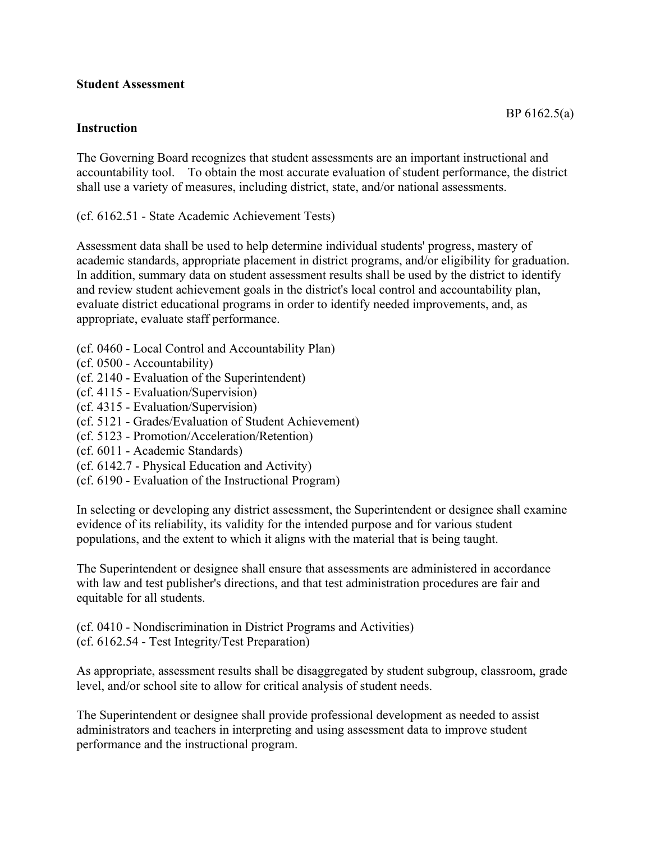## **Student Assessment**

## **Instruction**

The Governing Board recognizes that student assessments are an important instructional and accountability tool. To obtain the most accurate evaluation of student performance, the district shall use a variety of measures, including district, state, and/or national assessments.

(cf. 6162.51 - State Academic Achievement Tests)

Assessment data shall be used to help determine individual students' progress, mastery of academic standards, appropriate placement in district programs, and/or eligibility for graduation. In addition, summary data on student assessment results shall be used by the district to identify and review student achievement goals in the district's local control and accountability plan, evaluate district educational programs in order to identify needed improvements, and, as appropriate, evaluate staff performance.

- (cf. 0460 Local Control and Accountability Plan)
- (cf. 0500 Accountability)
- (cf. 2140 Evaluation of the Superintendent)
- (cf. 4115 Evaluation/Supervision)
- (cf. 4315 Evaluation/Supervision)
- (cf. 5121 Grades/Evaluation of Student Achievement)
- (cf. 5123 Promotion/Acceleration/Retention)
- (cf. 6011 Academic Standards)
- (cf. 6142.7 Physical Education and Activity)
- (cf. 6190 Evaluation of the Instructional Program)

In selecting or developing any district assessment, the Superintendent or designee shall examine evidence of its reliability, its validity for the intended purpose and for various student populations, and the extent to which it aligns with the material that is being taught.

The Superintendent or designee shall ensure that assessments are administered in accordance with law and test publisher's directions, and that test administration procedures are fair and equitable for all students.

(cf. 0410 - Nondiscrimination in District Programs and Activities) (cf. 6162.54 - Test Integrity/Test Preparation)

As appropriate, assessment results shall be disaggregated by student subgroup, classroom, grade level, and/or school site to allow for critical analysis of student needs.

The Superintendent or designee shall provide professional development as needed to assist administrators and teachers in interpreting and using assessment data to improve student performance and the instructional program.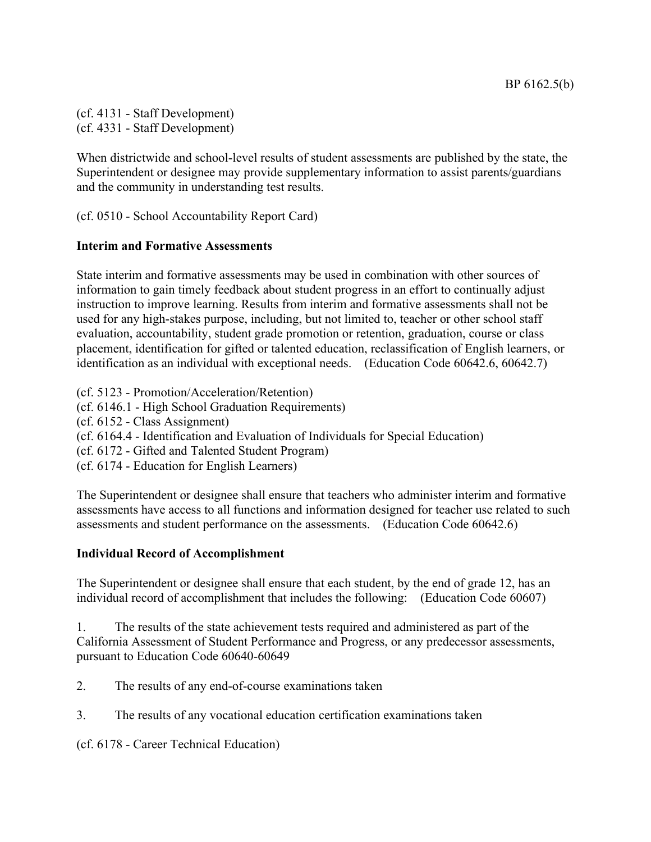(cf. 4131 - Staff Development) (cf. 4331 - Staff Development)

When districtwide and school-level results of student assessments are published by the state, the Superintendent or designee may provide supplementary information to assist parents/guardians and the community in understanding test results.

(cf. 0510 - School Accountability Report Card)

## **Interim and Formative Assessments**

State interim and formative assessments may be used in combination with other sources of information to gain timely feedback about student progress in an effort to continually adjust instruction to improve learning. Results from interim and formative assessments shall not be used for any high-stakes purpose, including, but not limited to, teacher or other school staff evaluation, accountability, student grade promotion or retention, graduation, course or class placement, identification for gifted or talented education, reclassification of English learners, or identification as an individual with exceptional needs. (Education Code 60642.6, 60642.7)

(cf. 5123 - Promotion/Acceleration/Retention)

- (cf. 6146.1 High School Graduation Requirements)
- (cf. 6152 Class Assignment)
- (cf. 6164.4 Identification and Evaluation of Individuals for Special Education)
- (cf. 6172 Gifted and Talented Student Program)
- (cf. 6174 Education for English Learners)

The Superintendent or designee shall ensure that teachers who administer interim and formative assessments have access to all functions and information designed for teacher use related to such assessments and student performance on the assessments. (Education Code 60642.6)

## **Individual Record of Accomplishment**

The Superintendent or designee shall ensure that each student, by the end of grade 12, has an individual record of accomplishment that includes the following: (Education Code 60607)

1. The results of the state achievement tests required and administered as part of the California Assessment of Student Performance and Progress, or any predecessor assessments, pursuant to Education Code 60640-60649

2. The results of any end-of-course examinations taken

3. The results of any vocational education certification examinations taken

(cf. 6178 - Career Technical Education)